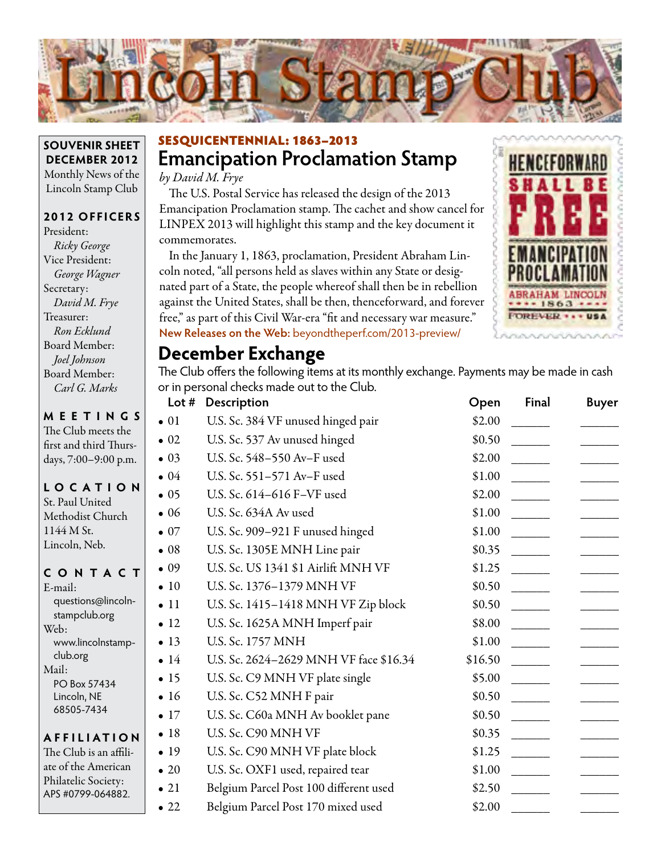

### **SOUVENIR SHEET DECEMBER 2012** Monthly News of the Lincoln Stamp Club

### **2012 OFFICERS**

President: *Ricky George* Vice President: *George Wagner* Secretary: *David M. Frye* Treasurer: *Ron Ecklund* Board Member: *Joel Johnson* Board Member: *Carl G. Marks*

| <b>MEETINGS</b> | The Club meets the<br>first and third Thurs-<br>days, 7:00-9:00 p.m.                        |  |         |  |
|-----------------|---------------------------------------------------------------------------------------------|--|---------|--|
|                 | LOCATION<br>St. Paul United<br>Methodist Church<br>1144 M St.<br>Lincoln, Neb.              |  |         |  |
|                 |                                                                                             |  |         |  |
| E-mail:         | questions@lincoln-                                                                          |  | CONTACT |  |
| Web:<br>Mail:   | stampclub.org<br>www.lincolnstamp-<br>club.org<br>PO Box 57434<br>Lincoln, NE<br>68505-7434 |  |         |  |

#### **AFFI LIATI O N**

The Club is an affiliate of the American Philatelic Society: APS #0799-064882.

## **Emancipation Proclamation Stamp** SESQUICENTENNIAL: 1863–2013

*by David M. Frye*

The U.S. Postal Service has released the design of the 2013 Emancipation Proclamation stamp. The cachet and show cancel for LINPEX 2013 will highlight this stamp and the key document it commemorates.

In the January 1, 1863, proclamation, President Abraham Lincoln noted, "all persons held as slaves within any State or designated part of a State, the people whereof shall then be in rebellion against the United States, shall be then, thenceforward, and forever free," as part of this Civil War-era "fit and necessary war measure." **New Releases on the Web:** beyondtheperf.com/2013-preview/



### **December Exchange**

The Club offers the following items at its monthly exchange. Payments may be made in cash or in personal checks made out to the Club.

| Lot $#$      | Description                            | Open    | Final | <b>Buyer</b> |
|--------------|----------------------------------------|---------|-------|--------------|
| $\bullet$ 01 | U.S. Sc. 384 VF unused hinged pair     | \$2.00  |       |              |
| $\bullet$ 02 | U.S. Sc. 537 Av unused hinged          | \$0.50  |       |              |
| $\bullet$ 03 | U.S. Sc. 548-550 Av-F used             | \$2.00  |       |              |
| $\bullet$ 04 | U.S. Sc. 551-571 Av-F used             | \$1.00  |       |              |
| $\bullet$ 05 | U.S. Sc. 614-616 F-VF used             | \$2.00  |       |              |
| $\bullet$ 06 | U.S. Sc. 634A Av used                  | \$1.00  |       |              |
| $\bullet$ 07 | U.S. Sc. 909-921 F unused hinged       | \$1.00  |       |              |
| $\bullet$ 08 | U.S. Sc. 1305E MNH Line pair           | \$0.35  |       |              |
| $\bullet$ 09 | U.S. Sc. US 1341 \$1 Airlift MNH VF    | \$1.25  |       |              |
| $\bullet$ 10 | U.S. Sc. 1376-1379 MNH VF              | \$0.50  |       |              |
| $\bullet$ 11 | U.S. Sc. 1415-1418 MNH VF Zip block    | \$0.50  |       |              |
| $\bullet$ 12 | U.S. Sc. 1625A MNH Imperf pair         | \$8.00  |       |              |
| $\bullet$ 13 | U.S. Sc. 1757 MNH                      | \$1.00  |       |              |
| $\bullet$ 14 | U.S. Sc. 2624-2629 MNH VF face \$16.34 | \$16.50 |       |              |
| $\bullet$ 15 | U.S. Sc. C9 MNH VF plate single        | \$5.00  |       |              |
| $\bullet$ 16 | U.S. Sc. C52 MNH F pair                | \$0.50  |       |              |
| $\bullet$ 17 | U.S. Sc. C60a MNH Av booklet pane      | \$0.50  |       |              |
| • 18         | U.S. Sc. C90 MNH VF                    | \$0.35  |       |              |
| $\bullet$ 19 | U.S. Sc. C90 MNH VF plate block        | \$1.25  |       |              |
| $\bullet$ 20 | U.S. Sc. OXF1 used, repaired tear      | \$1.00  |       |              |
| $\bullet$ 21 | Belgium Parcel Post 100 different used | \$2.50  |       |              |
| $\bullet$ 22 | Belgium Parcel Post 170 mixed used     | \$2.00  |       |              |